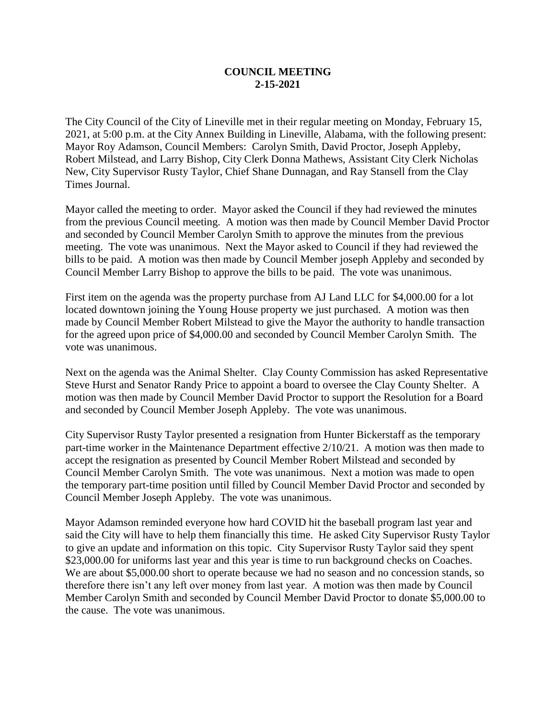## **COUNCIL MEETING 2-15-2021**

The City Council of the City of Lineville met in their regular meeting on Monday, February 15, 2021, at 5:00 p.m. at the City Annex Building in Lineville, Alabama, with the following present: Mayor Roy Adamson, Council Members: Carolyn Smith, David Proctor, Joseph Appleby, Robert Milstead, and Larry Bishop, City Clerk Donna Mathews, Assistant City Clerk Nicholas New, City Supervisor Rusty Taylor, Chief Shane Dunnagan, and Ray Stansell from the Clay Times Journal.

Mayor called the meeting to order. Mayor asked the Council if they had reviewed the minutes from the previous Council meeting. A motion was then made by Council Member David Proctor and seconded by Council Member Carolyn Smith to approve the minutes from the previous meeting. The vote was unanimous. Next the Mayor asked to Council if they had reviewed the bills to be paid. A motion was then made by Council Member joseph Appleby and seconded by Council Member Larry Bishop to approve the bills to be paid. The vote was unanimous.

First item on the agenda was the property purchase from AJ Land LLC for \$4,000.00 for a lot located downtown joining the Young House property we just purchased. A motion was then made by Council Member Robert Milstead to give the Mayor the authority to handle transaction for the agreed upon price of \$4,000.00 and seconded by Council Member Carolyn Smith. The vote was unanimous.

Next on the agenda was the Animal Shelter. Clay County Commission has asked Representative Steve Hurst and Senator Randy Price to appoint a board to oversee the Clay County Shelter. A motion was then made by Council Member David Proctor to support the Resolution for a Board and seconded by Council Member Joseph Appleby. The vote was unanimous.

City Supervisor Rusty Taylor presented a resignation from Hunter Bickerstaff as the temporary part-time worker in the Maintenance Department effective 2/10/21. A motion was then made to accept the resignation as presented by Council Member Robert Milstead and seconded by Council Member Carolyn Smith. The vote was unanimous. Next a motion was made to open the temporary part-time position until filled by Council Member David Proctor and seconded by Council Member Joseph Appleby. The vote was unanimous.

Mayor Adamson reminded everyone how hard COVID hit the baseball program last year and said the City will have to help them financially this time. He asked City Supervisor Rusty Taylor to give an update and information on this topic. City Supervisor Rusty Taylor said they spent \$23,000.00 for uniforms last year and this year is time to run background checks on Coaches. We are about \$5,000.00 short to operate because we had no season and no concession stands, so therefore there isn't any left over money from last year. A motion was then made by Council Member Carolyn Smith and seconded by Council Member David Proctor to donate \$5,000.00 to the cause. The vote was unanimous.